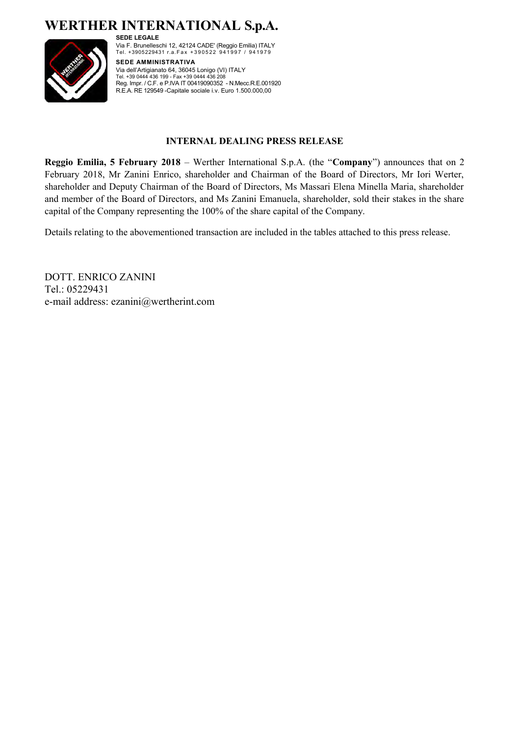**WERTHER INTERNATIONAL S.p.A. SEDE LEGALE**



Via F. Brunelleschi 12, 42124 CADE' (Reggio Emilia) ITALY<br>Tel. +3905229431 r.a.Fax +390522 941997 / 941979 **SEDE AMMINISTRATIVA** Via dell'Artigianato 64, 36045 Lonigo (VI) ITALY Tel. +39 0444 436 199 - Fax +39 0444 436 208

Reg. Impr. / C.F. e P.IVA IT 00419090352 - N.Mecc.R.E.001920 R.E.A. RE 129549 -Capitale sociale i.v. Euro 1.500.000,00

#### **INTERNAL DEALING PRESS RELEASE**

**Reggio Emilia, 5 February 2018** – Werther International S.p.A. (the "**Company**") announces that on 2 February 2018, Mr Zanini Enrico, shareholder and Chairman of the Board of Directors, Mr Iori Werter, shareholder and Deputy Chairman of the Board of Directors, Ms Massari Elena Minella Maria, shareholder and member of the Board of Directors, and Ms Zanini Emanuela, shareholder, sold their stakes in the share capital of the Company representing the 100% of the share capital of the Company.

Details relating to the abovementioned transaction are included in the tables attached to this press release.

DOTT. ENRICO ZANINI Tel.: 05229431 e-mail address: ezanini@wertherint.com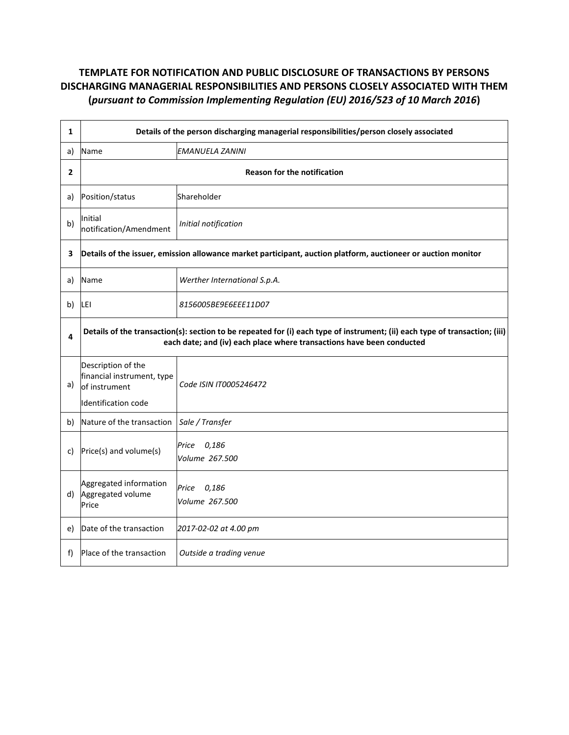| $\mathbf{1}$   | Details of the person discharging managerial responsibilities/person closely associated                                                                                                              |                                  |
|----------------|------------------------------------------------------------------------------------------------------------------------------------------------------------------------------------------------------|----------------------------------|
| a)             | Name                                                                                                                                                                                                 | <b>EMANUELA ZANINI</b>           |
| $\overline{2}$ | <b>Reason for the notification</b>                                                                                                                                                                   |                                  |
| a)             | Position/status                                                                                                                                                                                      | Shareholder                      |
| b)             | Initial<br>notification/Amendment                                                                                                                                                                    | Initial notification             |
| 3              | Details of the issuer, emission allowance market participant, auction platform, auctioneer or auction monitor                                                                                        |                                  |
| a)             | Name                                                                                                                                                                                                 | Werther International S.p.A.     |
| b)             | LEI                                                                                                                                                                                                  | 8156005BE9E6EEE11D07             |
| 4              | Details of the transaction(s): section to be repeated for (i) each type of instrument; (ii) each type of transaction; (iii)<br>each date; and (iv) each place where transactions have been conducted |                                  |
| a)             | Description of the<br>financial instrument, type<br>of instrument                                                                                                                                    | Code ISIN IT0005246472           |
|                | Identification code                                                                                                                                                                                  |                                  |
| b)             | Nature of the transaction                                                                                                                                                                            | Sale / Transfer                  |
| C)             | Price(s) and volume(s)                                                                                                                                                                               | Price<br>0,186<br>Volume 267.500 |
| d)             | Aggregated information<br>Aggregated volume<br>Price                                                                                                                                                 | Price 0,186<br>Volume 267.500    |
| e)             | Date of the transaction                                                                                                                                                                              | 2017-02-02 at 4.00 pm            |
| f)             | Place of the transaction                                                                                                                                                                             | Outside a trading venue          |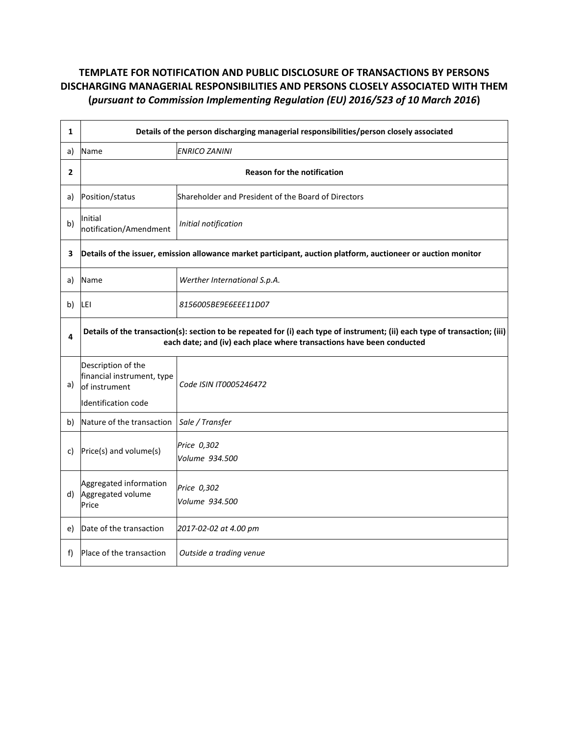| $\mathbf{1}$   | Details of the person discharging managerial responsibilities/person closely associated                                                                                                              |                                                     |
|----------------|------------------------------------------------------------------------------------------------------------------------------------------------------------------------------------------------------|-----------------------------------------------------|
| a)             | Name                                                                                                                                                                                                 | <b>ENRICO ZANINI</b>                                |
| $\overline{2}$ | <b>Reason for the notification</b>                                                                                                                                                                   |                                                     |
| a)             | Position/status                                                                                                                                                                                      | Shareholder and President of the Board of Directors |
| b)             | Initial<br>notification/Amendment                                                                                                                                                                    | Initial notification                                |
| 3              | Details of the issuer, emission allowance market participant, auction platform, auctioneer or auction monitor                                                                                        |                                                     |
| a)             | Name                                                                                                                                                                                                 | Werther International S.p.A.                        |
| b)             | LEI                                                                                                                                                                                                  | 8156005BE9E6EEE11D07                                |
| 4              | Details of the transaction(s): section to be repeated for (i) each type of instrument; (ii) each type of transaction; (iii)<br>each date; and (iv) each place where transactions have been conducted |                                                     |
| a)             | Description of the<br>financial instrument, type<br>of instrument                                                                                                                                    | Code ISIN IT0005246472                              |
|                | Identification code                                                                                                                                                                                  |                                                     |
| b)             | Nature of the transaction                                                                                                                                                                            | Sale / Transfer                                     |
| C)             | Price(s) and volume(s)                                                                                                                                                                               | Price 0,302<br>Volume 934.500                       |
| d)             | Aggregated information<br>Aggregated volume<br>Price                                                                                                                                                 | Price 0,302<br>Volume 934.500                       |
| e)             | Date of the transaction                                                                                                                                                                              | 2017-02-02 at 4.00 pm                               |
| f)             | Place of the transaction                                                                                                                                                                             | Outside a trading venue                             |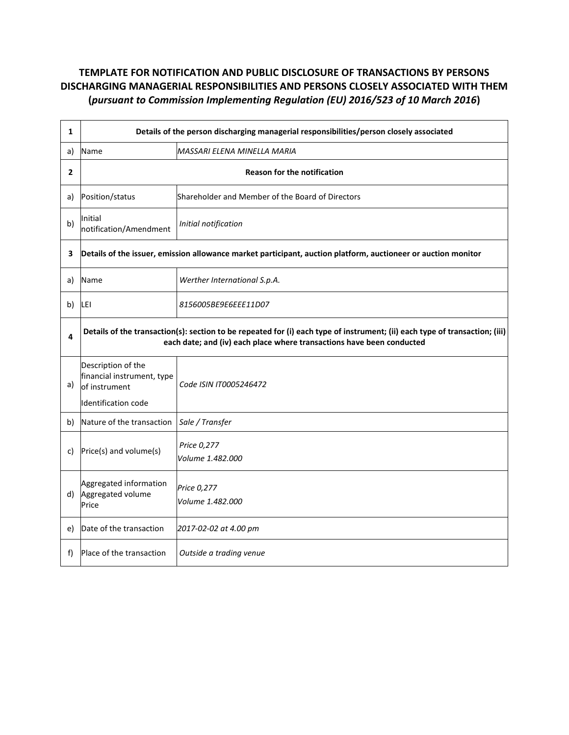| $\mathbf{1}$   | Details of the person discharging managerial responsibilities/person closely associated                                                                                                              |                                                  |  |
|----------------|------------------------------------------------------------------------------------------------------------------------------------------------------------------------------------------------------|--------------------------------------------------|--|
| a)             | Name                                                                                                                                                                                                 | MASSARI ELENA MINELLA MARIA                      |  |
| $\overline{2}$ | <b>Reason for the notification</b>                                                                                                                                                                   |                                                  |  |
| a)             | Position/status                                                                                                                                                                                      | Shareholder and Member of the Board of Directors |  |
| b)             | Initial<br>notification/Amendment                                                                                                                                                                    | Initial notification                             |  |
| 3              | Details of the issuer, emission allowance market participant, auction platform, auctioneer or auction monitor                                                                                        |                                                  |  |
| a)             | Name                                                                                                                                                                                                 | Werther International S.p.A.                     |  |
| b)             | LEI                                                                                                                                                                                                  | 8156005BE9E6EEE11D07                             |  |
| 4              | Details of the transaction(s): section to be repeated for (i) each type of instrument; (ii) each type of transaction; (iii)<br>each date; and (iv) each place where transactions have been conducted |                                                  |  |
| a)             | Description of the<br>financial instrument, type<br>of instrument                                                                                                                                    | Code ISIN IT0005246472                           |  |
|                | Identification code                                                                                                                                                                                  |                                                  |  |
| b)             | Nature of the transaction                                                                                                                                                                            | Sale / Transfer                                  |  |
| C)             | Price(s) and volume(s)                                                                                                                                                                               | Price 0,277<br>Volume 1.482.000                  |  |
| d)             | Aggregated information<br>Aggregated volume<br>Price                                                                                                                                                 | Price 0,277<br>Volume 1.482.000                  |  |
| e)             | Date of the transaction                                                                                                                                                                              | 2017-02-02 at 4.00 pm                            |  |
| f)             | Place of the transaction                                                                                                                                                                             | Outside a trading venue                          |  |